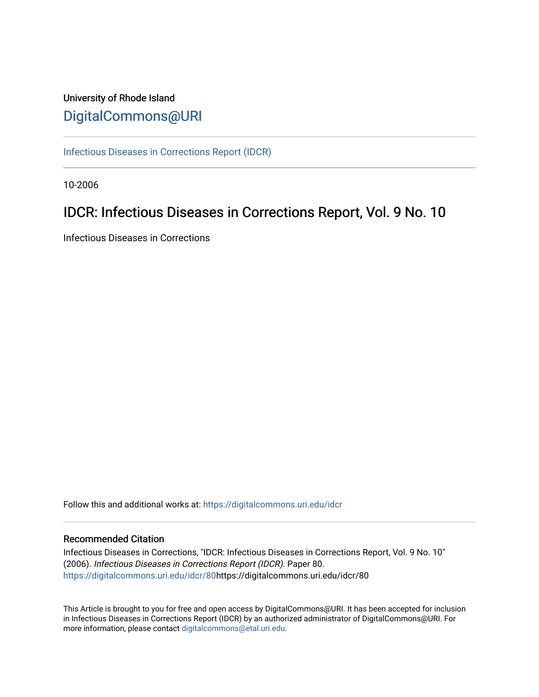# University of Rhode Island [DigitalCommons@URI](https://digitalcommons.uri.edu/)

[Infectious Diseases in Corrections Report \(IDCR\)](https://digitalcommons.uri.edu/idcr)

10-2006

# IDCR: Infectious Diseases in Corrections Report, Vol. 9 No. 10

Infectious Diseases in Corrections

Follow this and additional works at: [https://digitalcommons.uri.edu/idcr](https://digitalcommons.uri.edu/idcr?utm_source=digitalcommons.uri.edu%2Fidcr%2F80&utm_medium=PDF&utm_campaign=PDFCoverPages)

## Recommended Citation

Infectious Diseases in Corrections, "IDCR: Infectious Diseases in Corrections Report, Vol. 9 No. 10" (2006). Infectious Diseases in Corrections Report (IDCR). Paper 80. [https://digitalcommons.uri.edu/idcr/80h](https://digitalcommons.uri.edu/idcr/80?utm_source=digitalcommons.uri.edu%2Fidcr%2F80&utm_medium=PDF&utm_campaign=PDFCoverPages)ttps://digitalcommons.uri.edu/idcr/80

This Article is brought to you for free and open access by DigitalCommons@URI. It has been accepted for inclusion in Infectious Diseases in Corrections Report (IDCR) by an authorized administrator of DigitalCommons@URI. For more information, please contact [digitalcommons@etal.uri.edu.](mailto:digitalcommons@etal.uri.edu)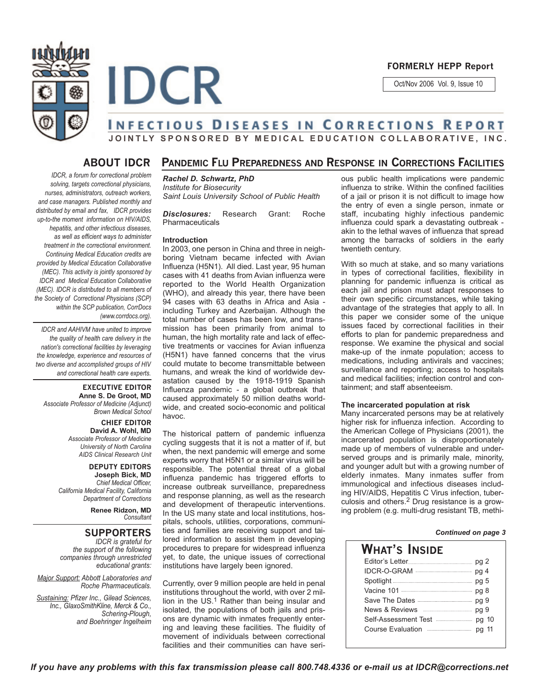

## **FORMERLY HEPP Report**

Oct/Nov 2006 Vol. 9, Issue 10

# **INFECTIOUS DISEASES IN CORRECTIONS REPORT JOINTLY SPONSORED BY MEDICAL EDUCATION COLLABORATIVE, INC.**

## **ABOUT IDCR**

*IDCR, a forum for correctional problem solving, targets correctional physicians, nurses, administrators, outreach workers, and case managers. Published monthly and distributed by email and fax, IDCR provides up-to-the moment information on HIV/AIDS, hepatitis, and other infectious diseases, as well as efficient ways to administer treatment in the correctional environment. Continuing Medical Education credits are provided by Medical Education Collaborative (MEC). This activity is jointly sponsored by IDCR and Medical Education Collaborative (MEC). IDCR is distributed to all members of the Society of Correctional Physicians (SCP) within the SCP publication, CorrDocs (www.corrdocs.org).*

*IDCR and AAHIVM have united to improve the quality of health care delivery in the nation's correctional facilities by leveraging the knowledge, experience and resources of two diverse and accomplished groups of HIV and correctional health care experts.* 

**EXECUTIVE EDITOR Anne S. De Groot, MD** *Associate Professor of Medicine (Adjunct) Brown Medical School*

> **CHIEF EDITOR David A. Wohl, MD** *Associate Professor of Medicine University of North Carolina AIDS Clinical Research Unit*

**DEPUTY EDITORS Joseph Bick, MD** *Chief Medical Officer, California Medical Facility, California Department of Corrections*

> **Renee Ridzon, MD** *Consultant*

## **SUPPORTERS**

*IDCR is grateful for the support of the following companies through unrestricted educational grants:*

*Major Support: Abbott Laboratories and Roche Pharmaceuticals.* 

*Sustaining: Pfizer Inc., Gilead Sciences, Inc., GlaxoSmithKline, Merck & Co., Schering-Plough, and Boehringer Ingelheim*

## **PANDEMIC FLU PREPAREDNESS AND RESPONSE IN CORRECTIONS FACILITIES**

*Rachel D. Schwartz, PhD Institute for Biosecurity Saint Louis University School of Public Health*

*Disclosures:* Research Grant: Roche Pharmaceuticals

### **Introduction**

**IDCR** 

In 2003, one person in China and three in neighboring Vietnam became infected with Avian Influenza (H5N1). All died. Last year, 95 human cases with 41 deaths from Avian influenza were reported to the World Health Organization (WHO), and already this year, there have been 94 cases with 63 deaths in Africa and Asia including Turkey and Azerbaijan. Although the total number of cases has been low, and transmission has been primarily from animal to human, the high mortality rate and lack of effective treatments or vaccines for Avian influenza (H5N1) have fanned concerns that the virus could mutate to become transmittable between humans, and wreak the kind of worldwide devastation caused by the 1918-1919 Spanish Influenza pandemic - a global outbreak that caused approximately 50 million deaths worldwide, and created socio-economic and political havoc.

The historical pattern of pandemic influenza cycling suggests that it is not a matter of if, but when, the next pandemic will emerge and some experts worry that H5N1 or a similar virus will be responsible. The potential threat of a global influenza pandemic has triggered efforts to increase outbreak surveillance, preparedness and response planning, as well as the research and development of therapeutic interventions. In the US many state and local institutions, hospitals, schools, utilities, corporations, communities and families are receiving support and tailored information to assist them in developing procedures to prepare for widespread influenza yet, to date, the unique issues of correctional institutions have largely been ignored.

Currently, over 9 million people are held in penal institutions throughout the world, with over 2 million in the  $US<sup>1</sup>$  Rather than being insular and isolated, the populations of both jails and prisons are dynamic with inmates frequently entering and leaving these facilities. The fluidity of movement of individuals between correctional facilities and their communities can have serious public health implications were pandemic influenza to strike. Within the confined facilities of a jail or prison it is not difficult to image how the entry of even a single person, inmate or staff, incubating highly infectious pandemic influenza could spark a devastating outbreak akin to the lethal waves of influenza that spread among the barracks of soldiers in the early twentieth century.

With so much at stake, and so many variations in types of correctional facilities, flexibility in planning for pandemic influenza is critical as each jail and prison must adapt responses to their own specific circumstances, while taking advantage of the strategies that apply to all. In this paper we consider some of the unique issues faced by correctional facilities in their efforts to plan for pandemic preparedness and response. We examine the physical and social make-up of the inmate population; access to medications, including antivirals and vaccines; surveillance and reporting; access to hospitals and medical facilities; infection control and containment; and staff absenteeism.

#### **The incarcerated population at risk**

Many incarcerated persons may be at relatively higher risk for influenza infection. According to the American College of Physicians (2001), the incarcerated population is disproportionately made up of members of vulnerable and underserved groups and is primarily male, minority, and younger adult but with a growing number of elderly inmates. Many inmates suffer from immunological and infectious diseases including HIV/AIDS, Hepatitis C Virus infection, tuberculosis and others.2 Drug resistance is a growing problem (e.g. multi-drug resistant TB, methi-

## *Continued on page 3*

| What's Inside                                             |       |
|-----------------------------------------------------------|-------|
|                                                           |       |
|                                                           |       |
|                                                           | pg 5  |
|                                                           |       |
| Save The Dates <b>Constitution</b> pg 9                   |       |
| News & Reviews <b>Engineer Act &amp; Reviews</b>          | pg 9  |
| Self-Assessment Test <b>Election Self-Assessment</b> Test |       |
|                                                           | pa 11 |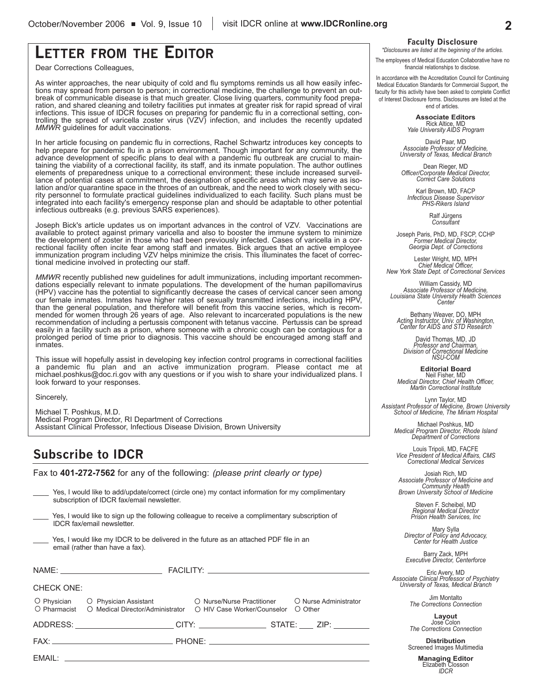# **LETTER FROM THE EDITOR**

Dear Corrections Colleagues,

As winter approaches, the near ubiquity of cold and flu symptoms reminds us all how easily infections may spread from person to person; in correctional medicine, the challenge to prevent an outbreak of communicable disease is that much greater. Close living quarters, community food preparation, and shared cleaning and toiletry facilities put inmates at greater risk for rapid spread of viral infections. This issue of IDCR focuses on preparing for pandemic flu in a correctional setting, controlling the spread of varicella zoster virus (VZV) infection, and includes the recently updated *MMWR* guidelines for adult vaccinations.

In her article focusing on pandemic flu in corrections, Rachel Schwartz introduces key concepts to help prepare for pandemic flu in a prison environment. Though important for any community, the advance development of specific plans to deal with a pandemic flu outbreak are crucial to maintaining the viability of a correctional facility, its staff, and its inmate population. The author outlines elements of preparedness unique to a correctional environment; these include increased surveillance of potential cases at commitment, the designation of specific areas which may serve as isolation and/or quarantine space in the throes of an outbreak, and the need to work closely with security personnel to formulate practical guidelines individualized to each facility. Such plans must be integrated into each facility's emergency response plan and should be adaptable to other potential infectious outbreaks (e.g. previous SARS experiences).

Joseph Bick's article updates us on important advances in the control of VZV. Vaccinations are available to protect against primary varicella and also to booster the immune system to minimize the development of zoster in those who had been previously infected. Cases of varicella in a correctional facility often incite fear among staff and inmates. Bick argues that an active employee immunization program including VZV helps minimize the crisis. This illuminates the facet of correctional medicine involved in protecting our staff.

*MMWR* recently published new guidelines for adult immunizations, including important recommendations especially relevant to inmate populations. The development of the human papillomavirus (HPV) vaccine has the potential to significantly decrease the cases of cervical cancer seen among our female inmates. Inmates have higher rates of sexually transmitted infections, including HPV, than the general population, and therefore will benefit from this vaccine series, which is recommended for women through 26 years of age. Also relevant to incarcerated populations is the new recommendation of including a pertussis component with tetanus vaccine. Pertussis can be spread easily in a facility such as a prison, where someone with a chronic cough can be contagious for a prolonged period of time prior to diagnosis. This vaccine should be encouraged among staff and inmates.

This issue will hopefully assist in developing key infection control programs in correctional facilities a pandemic flu plan and an active immunization program. Please contact me at michael.poshkus@doc.ri.gov with any questions or if you wish to share your individualized plans. I look forward to your responses.

Sincerely,

Michael T. Poshkus, M.D. Medical Program Director, RI Department of Corrections Assistant Clinical Professor, Infectious Disease Division, Brown University

# **Subscribe to IDCR**

Fax to **401-272-7562** for any of the following: *(please print clearly or type)*

Yes, I would like to add/update/correct (circle one) my contact information for my complimentary subscription of IDCR fax/email newsletter.

Yes, I would like to sign up the following colleague to receive a complimentary subscription of IDCR fax/email newsletter.

Yes, I would like my IDCR to be delivered in the future as an attached PDF file in an email (rather than have a fax).

| CHECK ONE: |                                                                                                                                    |                                                              |  |
|------------|------------------------------------------------------------------------------------------------------------------------------------|--------------------------------------------------------------|--|
|            | $\circ$ Physician $\circ$ Physician Assistant<br>O Pharmacist O Medical Director/Administrator O HIV Case Worker/Counselor O Other | $\circ$ Nurse/Nurse Practitioner $\circ$ Nurse Administrator |  |
|            |                                                                                                                                    |                                                              |  |
|            |                                                                                                                                    |                                                              |  |
|            |                                                                                                                                    |                                                              |  |

## **Faculty Disclosure**

*\*Disclosures are listed at the beginning of the articles.*

The employees of Medical Education Collaborative have no financial relationships to disclose.

In accordance with the Accreditation Council for Continuing Medical Education Standards for Commercial Support, the faculty for this activity have been asked to complete Conflict of Interest Disclosure forms. Disclosures are listed at the end of articles.

> **Associate Editors** Rick Altice, MD *Yale University AIDS Program*

David Paar, MD *Associate Professor of Medicine, University of Texas, Medical Branch*

Dean Rieger, MD *Officer/Corporate Medical Director, Correct Care Solutions*

Karl Brown, MD, FACP *Infectious Disease Supervisor PHS-Rikers Island*

Ralf Jürgens *Consultant*

Joseph Paris, PhD, MD, FSCP, CCHP *Former Medical Director, Georgia Dept. of Corrections*

Lester Wright, MD, MPH *Chief Medical Officer, New York State Dept. of Correctional Services*

William Cassidy, MD *Associate Professor of Medicine, Louisiana State University Health Sciences Center*

Bethany Weaver, DO, MPH *Acting Instructor, Univ. of Washington, Center for AIDS and STD Research*

David Thomas, MD, JD *Professor and Chairman, Division of Correctional Medicine NSU-COM*

**Editorial Board** Neil Fisher, MD *Medical Director, Chief Health Officer, Martin Correctional Institute*

Lynn Taylor, MD *Assistant Professor of Medicine, Brown University School of Medicine, The Miriam Hospital*

Michael Poshkus, MD *Medical Program Director, Rhode Island Department of Corrections*

Louis Tripoli, MD, FACFE *Vice President of Medical Affairs, CMS Correctional Medical Services*

Josiah Rich, MD *Associate Professor of Medicine and Community Health Brown University School of Medicine*

> Steven F. Scheibel, MD *Regional Medical Director Prison Health Services, Inc*

Mary Sylla *Director of Policy and Advocacy, Center for Health Justice*

Barry Zack, MPH *Executive Director, Centerforce*

Eric Avery, MD *Associate Clinical Professor of Psychiatry University of Texas, Medical Branch*

Jim Montalto *The Corrections Connection*

**Layout** Jose Colon *The Corrections Connection*

**Distribution** Screened Images Multimedia

> **Managing Editor** Elizabeth Closson *IDCR*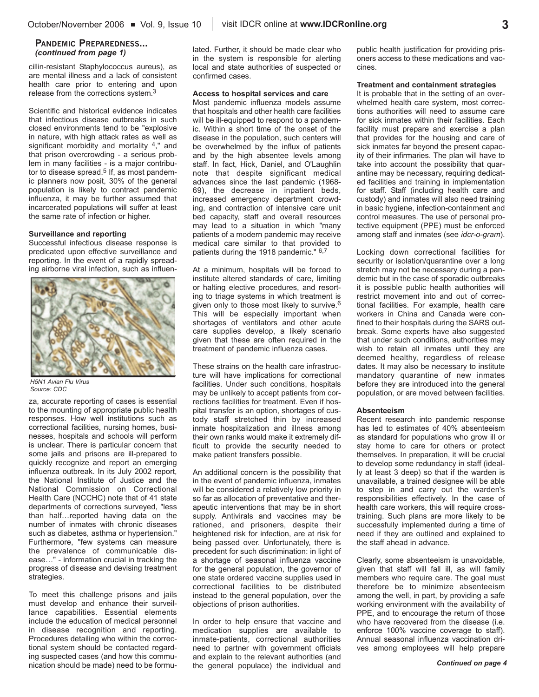## **PANDEMIC PREPAREDNESS...** *(continued from page 1)*

cillin-resistant Staphylococcus aureus), as are mental illness and a lack of consistent health care prior to entering and upon release from the corrections system.3

Scientific and historical evidence indicates that infectious disease outbreaks in such closed environments tend to be "explosive in nature, with high attack rates as well as significant morbidity and mortality 4," and that prison overcrowding - a serious problem in many facilities - is a major contributor to disease spread.<sup>5</sup> If, as most pandemic planners now posit, 30% of the general population is likely to contract pandemic influenza, it may be further assumed that incarcerated populations will suffer at least the same rate of infection or higher.

#### **Surveillance and reporting**

Successful infectious disease response is predicated upon effective surveillance and reporting. In the event of a rapidly spreading airborne viral infection, such as influen-



*H5N1 Avian Flu Virus Source: CDC*

za, accurate reporting of cases is essential to the mounting of appropriate public health responses. How well institutions such as correctional facilities, nursing homes, businesses, hospitals and schools will perform is unclear. There is particular concern that some jails and prisons are ill-prepared to quickly recognize and report an emerging influenza outbreak. In its July 2002 report, the National Institute of Justice and the National Commission on Correctional Health Care (NCCHC) note that of 41 state departments of corrections surveyed, "less than half…reported having data on the number of inmates with chronic diseases such as diabetes, asthma or hypertension." Furthermore, "few systems can measure the prevalence of communicable disease…" - information crucial in tracking the progress of disease and devising treatment strategies.

To meet this challenge prisons and jails must develop and enhance their surveillance capabilities. Essential elements include the education of medical personnel in disease recognition and reporting. Procedures detailing who within the correctional system should be contacted regarding suspected cases (and how this communication should be made) need to be formulated. Further, it should be made clear who in the system is responsible for alerting local and state authorities of suspected or confirmed cases.

#### **Access to hospital services and care**

Most pandemic influenza models assume that hospitals and other health care facilities will be ill-equipped to respond to a pandemic. Within a short time of the onset of the disease in the population, such centers will be overwhelmed by the influx of patients and by the high absentee levels among staff. In fact, Hick, Daniel, and O'Laughlin note that despite significant medical advances since the last pandemic (1968- 69), the decrease in inpatient beds, increased emergency department crowding, and contraction of intensive care unit bed capacity, staff and overall resources may lead to a situation in which "many patients of a modern pandemic may receive medical care similar to that provided to patients during the 1918 pandemic." 6,7

At a minimum, hospitals will be forced to institute altered standards of care, limiting or halting elective procedures, and resorting to triage systems in which treatment is given only to those most likely to survive.6 This will be especially important when shortages of ventilators and other acute care supplies develop, a likely scenario given that these are often required in the treatment of pandemic influenza cases.

These strains on the health care infrastructure will have implications for correctional facilities. Under such conditions, hospitals may be unlikely to accept patients from corrections facilities for treatment. Even if hospital transfer is an option, shortages of custody staff stretched thin by increased inmate hospitalization and illness among their own ranks would make it extremely difficult to provide the security needed to make patient transfers possible.

An additional concern is the possibility that in the event of pandemic influenza, inmates will be considered a relatively low priority in so far as allocation of preventative and therapeutic interventions that may be in short supply. Antivirals and vaccines may be rationed, and prisoners, despite their heightened risk for infection, are at risk for being passed over. Unfortunately, there is precedent for such discrimination: in light of a shortage of seasonal influenza vaccine for the general population, the governor of one state ordered vaccine supplies used in correctional facilities to be distributed instead to the general population, over the objections of prison authorities.

In order to help ensure that vaccine and medication supplies are available to inmate-patients, correctional authorities need to partner with government officials and explain to the relevant authorities (and the general populace) the individual and

public health justification for providing prisoners access to these medications and vaccines.

### **Treatment and containment strategies**

It is probable that in the setting of an overwhelmed health care system, most corrections authorities will need to assume care for sick inmates within their facilities. Each facility must prepare and exercise a plan that provides for the housing and care of sick inmates far beyond the present capacity of their infirmaries. The plan will have to take into account the possibility that quarantine may be necessary, requiring dedicated facilities and training in implementation for staff. Staff (including health care and custody) and inmates will also need training in basic hygiene, infection-containment and control measures. The use of personal protective equipment (PPE) must be enforced among staff and inmates (see *idcr-o-gram*).

Locking down correctional facilities for security or isolation/quarantine over a long stretch may not be necessary during a pandemic but in the case of sporadic outbreaks it is possible public health authorities will restrict movement into and out of correctional facilities. For example, health care workers in China and Canada were confined to their hospitals during the SARS outbreak. Some experts have also suggested that under such conditions, authorities may wish to retain all inmates until they are deemed healthy, regardless of release dates. It may also be necessary to institute mandatory quarantine of new inmates before they are introduced into the general population, or are moved between facilities.

#### **Absenteeism**

Recent research into pandemic response has led to estimates of 40% absenteeism as standard for populations who grow ill or stay home to care for others or protect themselves. In preparation, it will be crucial to develop some redundancy in staff (ideally at least 3 deep) so that if the warden is unavailable, a trained designee will be able to step in and carry out the warden's responsibilities effectively. In the case of health care workers, this will require crosstraining. Such plans are more likely to be successfully implemented during a time of need if they are outlined and explained to the staff ahead in advance.

Clearly, some absenteeism is unavoidable, given that staff will fall ill, as will family members who require care. The goal must therefore be to minimize absenteeism among the well, in part, by providing a safe working environment with the availability of PPE, and to encourage the return of those who have recovered from the disease (i.e. enforce 100% vaccine coverage to staff). Annual seasonal influenza vaccination drives among employees will help prepare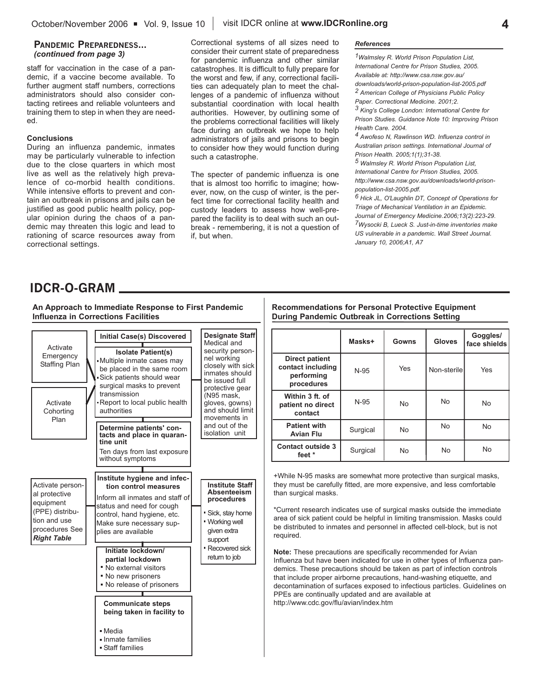## **PANDEMIC PREPAREDNESS...** *(continued from page 3)*

staff for vaccination in the case of a pandemic, if a vaccine become available. To further augment staff numbers, corrections administrators should also consider contacting retirees and reliable volunteers and training them to step in when they are needed.

## **Conclusions**

During an influenza pandemic, inmates may be particularly vulnerable to infection due to the close quarters in which most live as well as the relatively high prevalence of co-morbid health conditions. While intensive efforts to prevent and contain an outbreak in prisons and jails can be justified as good public health policy, popular opinion during the chaos of a pandemic may threaten this logic and lead to rationing of scarce resources away from correctional settings.

Correctional systems of all sizes need to consider their current state of preparedness for pandemic influenza and other similar catastrophes. It is difficult to fully prepare for the worst and few, if any, correctional facilities can adequately plan to meet the challenges of a pandemic of influenza without substantial coordination with local health authorities. However, by outlining some of the problems correctional facilities will likely face during an outbreak we hope to help administrators of jails and prisons to begin to consider how they would function during such a catastrophe.

The specter of pandemic influenza is one that is almost too horrific to imagine; however, now, on the cusp of winter, is the perfect time for correctional facility health and custody leaders to assess how well-prepared the facility is to deal with such an outbreak - remembering, it is not a question of if, but when.

## *References*

*1Walmsley R. World Prison Population List, International Centre for Prison Studies, 2005. Available at: http://www.csa.nsw.gov.au/ downloads/world-prison-population-list-2005.pdf 2 American College of Physicians Public Policy Paper. Correctional Medicine. 2001;2.*

*3 King's College London: International Centre for Prison Studies. Guidance Note 10: Improving Prison Health Care. 2004.* 

*4 Awofeso N, Rawlinson WD. Influenza control in Australian prison settings. International Journal of Prison Health. 2005;1(1);31-38.*

*5 Walmsley R. World Prison Population List, International Centre for Prison Studies, 2005. http://www.csa.nsw.gov.au/downloads/world-prisonpopulation-list-2005.pdf.* 

*6 Hick JL, O'Laughlin DT, Concept of Operations for Triage of Mechanical Ventilation in an Epidemic. Journal of Emergency Medicine.2006;13(2):223-29. 7Wysocki B, Lueck S. Just-in-time inventories make US vulnerable in a pandemic. Wall Street Journal. January 10, 2006;A1, A7*

## **IDCR-O-GRAM**

**An Approach to Immediate Response to First Pandemic Influenza in Corrections Facilities**

|                                                                                                                           | <b>Initial Case(s) Discovered</b>                                                                                                                                                                       | <b>Designate Staff</b><br>Medical and                                                                                     |
|---------------------------------------------------------------------------------------------------------------------------|---------------------------------------------------------------------------------------------------------------------------------------------------------------------------------------------------------|---------------------------------------------------------------------------------------------------------------------------|
| Activate<br>Emergency<br>Staffing Plan                                                                                    | <b>Isolate Patient(s)</b><br>Multiple inmate cases may<br>be placed in the same room<br>Sick patients should wear                                                                                       | security person-<br>nel working<br>closely with sick<br>inmates should<br>be issued full                                  |
| Activate<br>Cohorting<br>Plan                                                                                             | surgical masks to prevent<br>transmission<br>-Report to local public health<br>authorities<br>Determine patients' con-<br>tacts and place in quaran-                                                    | protective gear<br>(N95 mask,<br>gloves, gowns)<br>and should limit<br>movements in<br>and out of the<br>isolation unit   |
|                                                                                                                           | tine unit<br>Ten days from last exposure<br>without symptoms                                                                                                                                            |                                                                                                                           |
| Activate person-<br>al protective<br>equipment<br>(PPE) distribu-<br>tion and use<br>procedures See<br><b>Right Table</b> | Institute hygiene and infec-<br>tion control measures<br>Inform all inmates and staff of<br>status and need for cough<br>control, hand hygiene, etc.<br>Make sure necessary sup-<br>plies are available | <b>Institute Staff</b><br><b>Absenteeism</b><br>procedures<br>Sick, stay home<br>. Working well<br>given extra<br>support |
|                                                                                                                           | Initiate lockdown/<br>partial lockdown<br>" No external visitors<br>. No new prisoners<br>No release of prisoners                                                                                       | Recovered sick<br>return to job                                                                                           |
|                                                                                                                           | <b>Communicate steps</b><br>being taken in facility to<br>• Media<br>Inmate families                                                                                                                    |                                                                                                                           |
|                                                                                                                           | • Staff families                                                                                                                                                                                        |                                                                                                                           |

**Recommendations for Personal Protective Equipment During Pandemic Outbreak in Corrections Setting**

|                                                                        | Masks+   | Gowns     | <b>Gloves</b> | Goggles/<br>face shields |
|------------------------------------------------------------------------|----------|-----------|---------------|--------------------------|
| <b>Direct patient</b><br>contact including<br>performing<br>procedures | $N-95$   | Yes       | Non-sterile   | Yes                      |
| Within 3 ft. of<br>patient no direct<br>contact                        | $N-95$   | <b>No</b> | <b>No</b>     | <b>No</b>                |
| <b>Patient with</b><br><b>Avian Flu</b>                                | Surgical | <b>No</b> | <b>No</b>     | <b>No</b>                |
| <b>Contact outside 3</b><br>feet *                                     | Surgical | <b>No</b> | No            | <b>No</b>                |

+While N-95 masks are somewhat more protective than surgical masks, they must be carefully fitted, are more expensive, and less comfortable than surgical masks.

\*Current research indicates use of surgical masks outside the immediate area of sick patient could be helpful in limiting transmission. Masks could be distributed to inmates and personnel in affected cell-block, but is not required.

**Note:** These precautions are specifically recommended for Avian Influenza but have been indicated for use in other types of Influenza pandemics. These precautions should be taken as part of infection controls that include proper airborne precautions, hand-washing etiquette, and decontamination of surfaces exposed to infectious particles. Guidelines on PPEs are continually updated and are available at http://www.cdc.gov/flu/avian/index.htm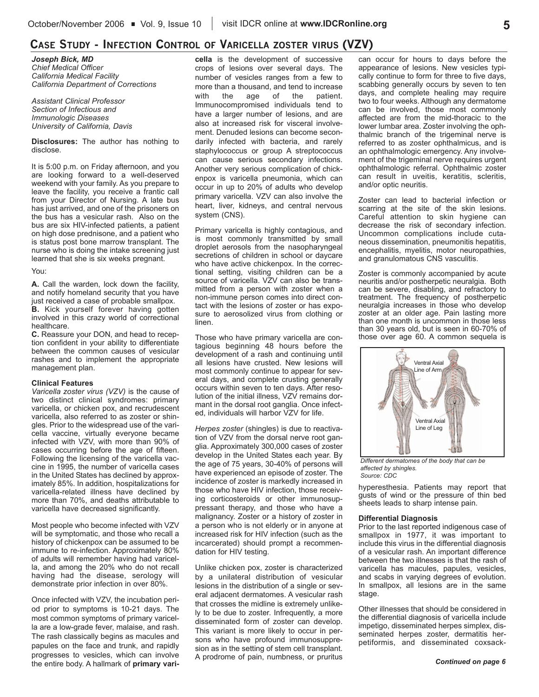## **CASE STUDY - INFECTION CONTROL OF VARICELLA ZOSTER VIRUS (VZV)**

*Joseph Bick, MD Chief Medical Officer California Medical Facility California Department of Corrections*

*Assistant Clinical Professor Section of Infectious and Immunologic Diseases University of California, Davis*

**Disclosures:** The author has nothing to disclose.

It is 5:00 p.m. on Friday afternoon, and you are looking forward to a well-deserved weekend with your family. As you prepare to leave the facility, you receive a frantic call from your Director of Nursing. A late bus has just arrived, and one of the prisoners on the bus has a vesicular rash. Also on the bus are six HIV-infected patients, a patient on high dose prednisone, and a patient who is status post bone marrow transplant. The nurse who is doing the intake screening just learned that she is six weeks pregnant.

#### You:

**A.** Call the warden, lock down the facility, and notify homeland security that you have just received a case of probable smallpox. **B.** Kick yourself forever having gotten involved in this crazy world of correctional healthcare.

**C.** Reassure your DON, and head to reception confident in your ability to differentiate between the common causes of vesicular rashes and to implement the appropriate management plan.

#### **Clinical Features**

*Varicella zoster virus (VZV)* is the cause of two distinct clinical syndromes: primary varicella, or chicken pox, and recrudescent varicella, also referred to as zoster or shingles. Prior to the widespread use of the varicella vaccine, virtually everyone became infected with VZV, with more than 90% of cases occurring before the age of fifteen. Following the licensing of the varicella vaccine in 1995, the number of varicella cases in the United States has declined by approximately 85%. In addition, hospitalizations for varicella-related illness have declined by more than 70%, and deaths attributable to varicella have decreased significantly.

Most people who become infected with VZV will be symptomatic, and those who recall a history of chickenpox can be assumed to be immune to re-infection. Approximately 80% of adults will remember having had varicella, and among the 20% who do not recall having had the disease, serology will demonstrate prior infection in over 80%.

Once infected with VZV, the incubation period prior to symptoms is 10-21 days. The most common symptoms of primary varicella are a low-grade fever, malaise, and rash. The rash classically begins as macules and papules on the face and trunk, and rapidly progresses to vesicles, which can involve the entire body. A hallmark of **primary vari-**

**cella** is the development of successive crops of lesions over several days. The number of vesicles ranges from a few to more than a thousand, and tend to increase with the age of the patient. Immunocompromised individuals tend to have a larger number of lesions, and are also at increased risk for visceral involvement. Denuded lesions can become secondarily infected with bacteria, and rarely staphylococcus or group A streptococcus can cause serious secondary infections. Another very serious complication of chickenpox is varicella pneumonia, which can occur in up to 20% of adults who develop primary varicella. VZV can also involve the heart, liver, kidneys, and central nervous system (CNS).

Primary varicella is highly contagious, and is most commonly transmitted by small droplet aerosols from the nasopharyngeal secretions of children in school or daycare who have active chickenpox. In the correctional setting, visiting children can be a source of varicella. VZV can also be transmitted from a person with zoster when a non-immune person comes into direct contact with the lesions of zoster or has exposure to aerosolized virus from clothing or linen.

Those who have primary varicella are contagious beginning 48 hours before the development of a rash and continuing until all lesions have crusted. New lesions will most commonly continue to appear for several days, and complete crusting generally occurs within seven to ten days. After resolution of the initial illness, VZV remains dormant in the dorsal root ganglia. Once infected, individuals will harbor VZV for life.

*Herpes zoster* (shingles) is due to reactivation of VZV from the dorsal nerve root ganglia. Approximately 300,000 cases of zoster develop in the United States each year. By the age of 75 years, 30-40% of persons will have experienced an episode of zoster. The incidence of zoster is markedly increased in those who have HIV infection, those receiving corticosteroids or other immunosuppressant therapy, and those who have a malignancy. Zoster or a history of zoster in a person who is not elderly or in anyone at increased risk for HIV infection (such as the incarcerated) should prompt a recommendation for HIV testing.

Unlike chicken pox, zoster is characterized by a unilateral distribution of vesicular lesions in the distribution of a single or several adjacent dermatomes. A vesicular rash that crosses the midline is extremely unlikely to be due to zoster. Infrequently, a more disseminated form of zoster can develop. This variant is more likely to occur in persons who have profound immunosuppresion as in the setting of stem cell transplant. A prodrome of pain, numbness, or pruritus

can occur for hours to days before the appearance of lesions. New vesicles typically continue to form for three to five days, scabbing generally occurs by seven to ten days, and complete healing may require two to four weeks. Although any dermatome can be involved, those most commonly affected are from the mid-thoracic to the lower lumbar area. Zoster involving the ophthalmic branch of the trigeminal nerve is referred to as zoster ophthalmicus, and is an ophthalmologic emergency. Any involvement of the trigeminal nerve requires urgent ophthalmologic referral. Ophthalmic zoster can result in uveitis, keratitis, scleritis, and/or optic neuritis.

Zoster can lead to bacterial infection or scarring at the site of the skin lesions. Careful attention to skin hygiene can decrease the risk of secondary infection. Uncommon complications include cutaneous dissemination, pneumonitis hepatitis, encephalitis, myelitis, motor neuropathies, and granulomatous CNS vasculitis.

Zoster is commonly accompanied by acute neuritis and/or postherpetic neuralgia. Both can be severe, disabling, and refractory to treatment. The frequency of postherpetic neuralgia increases in those who develop zoster at an older age. Pain lasting more than one month is uncommon in those less than 30 years old, but is seen in 60-70% of those over age 60. A common sequela is



*Different dermatomes of the body that can be affected by shingles. Source: CDC*

hyperesthesia. Patients may report that gusts of wind or the pressure of thin bed sheets leads to sharp intense pain.

#### **Differential Diagnosis**

Prior to the last reported indigenous case of smallpox in 1977, it was important to include this virus in the differential diagnosis of a vesicular rash. An important difference between the two illnesses is that the rash of varicella has macules, papules, vesicles, and scabs in varying degrees of evolution. In smallpox, all lesions are in the same stage.

Other illnesses that should be considered in the differential diagnosis of varicella include impetigo, disseminated herpes simplex, disseminated herpes zoster, dermatitis herpetiformis, and disseminated coxsack-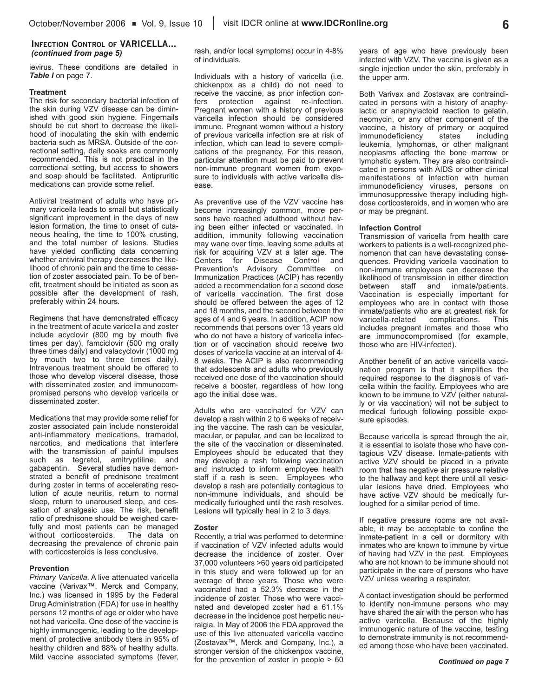## **INFECTION CONTROL OF VARICELLA...** *(continued from page 5)*

ievirus. These conditions are detailed in *Table I* on page 7.

## **Treatment**

The risk for secondary bacterial infection of the skin during VZV disease can be diminished with good skin hygiene. Fingernails should be cut short to decrease the likelihood of inoculating the skin with endemic bacteria such as MRSA. Outside of the correctional setting, daily soaks are commonly recommended. This is not practical in the correctional setting, but access to showers and soap should be facilitated. Antipruritic medications can provide some relief.

Antiviral treatment of adults who have primary varicella leads to small but statistically significant improvement in the days of new lesion formation, the time to onset of cutaneous healing, the time to 100% crusting, and the total number of lesions. Studies have yielded conflicting data concerning whether antiviral therapy decreases the likelihood of chronic pain and the time to cessation of zoster associated pain. To be of benefit, treatment should be initiated as soon as possible after the development of rash, preferably within 24 hours.

Regimens that have demonstrated efficacy in the treatment of acute varicella and zoster include acyclovir (800 mg by mouth five times per day), famciclovir (500 mg orally three times daily) and valacyclovir (1000 mg by mouth two to three times daily). Intravenous treatment should be offered to those who develop visceral disease, those with disseminated zoster, and immunocompromised persons who develop varicella or disseminated zoster.

Medications that may provide some relief for zoster associated pain include nonsteroidal anti-inflammatory medications, tramadol, narcotics, and medications that interfere with the transmission of painful impulses such as tegretol, amitryptiline, and gabapentin. Several studies have demonstrated a benefit of prednisone treatment during zoster in terms of accelerating resolution of acute neuritis, return to normal sleep, return to unaroused sleep, and cessation of analgesic use. The risk, benefit ratio of prednisone should be weighed carefully and most patients can be managed without corticosteroids. The data on decreasing the prevalence of chronic pain with corticosteroids is less conclusive.

## **Prevention**

*Primary Varicella*. A live attenuated varicella vaccine (Varivax™, Merck and Company, Inc.) was licensed in 1995 by the Federal Drug Administration (FDA) for use in healthy persons 12 months of age or older who have not had varicella. One dose of the vaccine is highly immunogenic, leading to the development of protective antibody titers in 95% of healthy children and 88% of healthy adults. Mild vaccine associated symptoms (fever,

rash, and/or local symptoms) occur in 4-8% of individuals.

Individuals with a history of varicella (i.e. chickenpox as a child) do not need to receive the vaccine, as prior infection confers protection against re-infection. Pregnant women with a history of previous varicella infection should be considered immune. Pregnant women without a history of previous varicella infection are at risk of infection, which can lead to severe complications of the pregnancy. For this reason, particular attention must be paid to prevent non-immune pregnant women from exposure to individuals with active varicella disease.

As preventive use of the VZV vaccine has become increasingly common, more persons have reached adulthood without having been either infected or vaccinated. In addition, immunity following vaccination may wane over time, leaving some adults at risk for acquiring VZV at a later age. The Centers for Disease Control and Prevention's Advisory Committee on Immunization Practices (ACIP) has recently added a recommendation for a second dose of varicella vaccination. The first dose should be offered between the ages of 12 and 18 months, and the second between the ages of 4 and 6 years. In addition, ACIP now recommends that persons over 13 years old who do not have a history of varicella infection or of vaccination should receive two doses of varicella vaccine at an interval of 4- 8 weeks. The ACIP is also recommending that adolescents and adults who previously received one dose of the vaccination should receive a booster, regardless of how long ago the initial dose was.

Adults who are vaccinated for VZV can develop a rash within 2 to 6 weeks of receiving the vaccine. The rash can be vesicular, macular, or papular, and can be localized to the site of the vaccination or disseminated. Employees should be educated that they may develop a rash following vaccination and instructed to inform employee health staff if a rash is seen. Employees who develop a rash are potentially contagious to non-immune individuals, and should be medically furloughed until the rash resolves. Lesions will typically heal in 2 to 3 days.

## **Zoster**

Recently, a trial was performed to determine if vaccination of VZV infected adults would decrease the incidence of zoster. Over 37,000 volunteers >60 years old participated in this study and were followed up for an average of three years. Those who were vaccinated had a 52.3% decrease in the incidence of zoster. Those who were vaccinated and developed zoster had a 61.1% decrease in the incidence post herpetic neuralgia. In May of 2006 the FDA approved the use of this live attenuated varicella vaccine (Zostavax™, Merck and Company, Inc.), a stronger version of the chickenpox vaccine, for the prevention of zoster in people > 60

years of age who have previously been infected with VZV. The vaccine is given as a single injection under the skin, preferably in the upper arm.

Both Varivax and Zostavax are contraindicated in persons with a history of anaphylactic or anaphylactoid reaction to gelatin, neomycin, or any other component of the vaccine, a history of primary or acquired<br>immunodeficiency states including immunodeficiency states leukemia, lymphomas, or other malignant neoplasms affecting the bone marrow or lymphatic system. They are also contraindicated in persons with AIDS or other clinical manifestations of infection with human immunodeficiency viruses, persons on immunosuppressive therapy including highdose corticosteroids, and in women who are or may be pregnant.

### **Infection Control**

Transmission of varicella from health care workers to patients is a well-recognized phenomenon that can have devastating consequences. Providing varicella vaccination to non-immune employees can decrease the likelihood of transmission in either direction between staff and inmate/patients. Vaccination is especially important for employees who are in contact with those inmate/patients who are at greatest risk for varicella-related complications. This includes pregnant inmates and those who are immunocompromised (for example, those who are HIV-infected).

Another benefit of an active varicella vaccination program is that it simplifies the required response to the diagnosis of varicella within the facility. Employees who are known to be immune to VZV (either naturally or via vaccination) will not be subject to medical furlough following possible exposure episodes.

Because varicella is spread through the air, it is essential to isolate those who have contagious VZV disease. Inmate-patients with active VZV should be placed in a private room that has negative air pressure relative to the hallway and kept there until all vesicular lesions have dried. Employees who have active VZV should be medically furloughed for a similar period of time.

If negative pressure rooms are not available, it may be acceptable to confine the inmate-patient in a cell or dormitory with inmates who are known to immune by virtue of having had VZV in the past. Employees who are not known to be immune should not participate in the care of persons who have VZV unless wearing a respirator.

A contact investigation should be performed to identify non-immune persons who may have shared the air with the person who has active varicella. Because of the highly immunogenic nature of the vaccine, testing to demonstrate immunity is not recommended among those who have been vaccinated.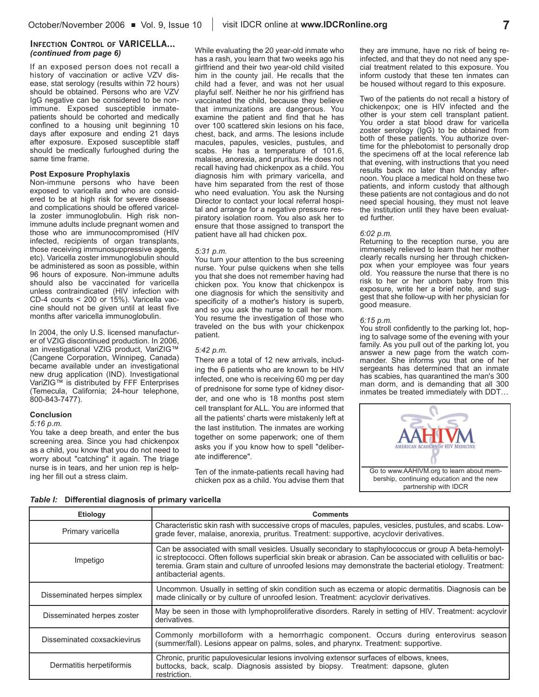## **INFECTION CONTROL OF VARICELLA...** *(continued from page 6)*

If an exposed person does not recall a history of vaccination or active VZV disease, stat serology (results within 72 hours) should be obtained. Persons who are VZV IgG negative can be considered to be nonimmune. Exposed susceptible inmatepatients should be cohorted and medically confined to a housing unit beginning 10 days after exposure and ending 21 days after exposure. Exposed susceptible staff should be medically furloughed during the same time frame.

## **Post Exposure Prophylaxis**

Non-immune persons who have been exposed to varicella and who are considered to be at high risk for severe disease and complications should be offered varicella zoster immunoglobulin. High risk nonimmune adults include pregnant women and those who are immunocompromised (HIV infected, recipients of organ transplants, those receiving immunosuppressive agents, etc). Varicella zoster immunoglobulin should be administered as soon as possible, within 96 hours of exposure. Non-immune adults should also be vaccinated for varicella unless contraindicated (HIV infection with CD-4 counts < 200 or 15%). Varicella vaccine should not be given until at least five months after varicella immunoglobulin.

In 2004, the only U.S. licensed manufacturer of VZIG discontinued production. In 2006, an investigational VZIG product, VariZIG™ (Cangene Corporation, Winnipeg, Canada) became available under an investigational new drug application (IND). Investigational VariZIG™ is distributed by FFF Enterprises (Temecula, California; 24-hour telephone, 800-843-7477).

## **Conclusion**

*5:16 p.m.*

You take a deep breath, and enter the bus screening area. Since you had chickenpox as a child, you know that you do not need to worry about "catching" it again. The triage nurse is in tears, and her union rep is helping her fill out a stress claim.

While evaluating the 20 year-old inmate who has a rash, you learn that two weeks ago his girlfriend and their two year-old child visited him in the county jail. He recalls that the child had a fever, and was not her usual playful self. Neither he nor his girlfriend has vaccinated the child, because they believe that immunizations are dangerous. You examine the patient and find that he has over 100 scattered skin lesions on his face, chest, back, and arms. The lesions include macules, papules, vesicles, pustules, and scabs. He has a temperature of 101.6, malaise, anorexia, and pruritus. He does not recall having had chickenpox as a child. You diagnosis him with primary varicella, and have him separated from the rest of those who need evaluation. You ask the Nursing Director to contact your local referral hospital and arrange for a negative pressure respiratory isolation room. You also ask her to ensure that those assigned to transport the patient have all had chicken pox.

## *5:31 p.m.*

You turn your attention to the bus screening nurse. Your pulse quickens when she tells you that she does not remember having had chicken pox. You know that chickenpox is one diagnosis for which the sensitivity and specificity of a mother's history is superb, and so you ask the nurse to call her mom. You resume the investigation of those who traveled on the bus with your chickenpox patient.

### *5:42 p.m.*

There are a total of 12 new arrivals, including the 6 patients who are known to be HIV infected, one who is receiving 60 mg per day of prednisone for some type of kidney disorder, and one who is 18 months post stem cell transplant for ALL. You are informed that all the patients' charts were mistakenly left at the last institution. The inmates are working together on some paperwork; one of them asks you if you know how to spell "deliberate indifference".

Ten of the inmate-patients recall having had chicken pox as a child. You advise them that

they are immune, have no risk of being reinfected, and that they do not need any special treatment related to this exposure. You inform custody that these ten inmates can be housed without regard to this exposure.

Two of the patients do not recall a history of chickenpox; one is HIV infected and the other is your stem cell transplant patient. You order a stat blood draw for varicella zoster serology (IgG) to be obtained from both of these patients. You authorize overtime for the phlebotomist to personally drop the specimens off at the local reference lab that evening, with instructions that you need results back no later than Monday afternoon. You place a medical hold on these two patients, and inform custody that although these patients are not contagious and do not need special housing, they must not leave the institution until they have been evaluated further.

### *6:02 p.m.*

Returning to the reception nurse, you are immensely relieved to learn that her mother clearly recalls nursing her through chickenpox when your employee was four years old. You reassure the nurse that there is no risk to her or her unborn baby from this exposure, write her a brief note, and suggest that she follow-up with her physician for good measure.

### *6:15 p.m.*

You stroll confidently to the parking lot, hoping to salvage some of the evening with your family. As you pull out of the parking lot, you answer a new page from the watch commander. She informs you that one of her sergeants has determined that an inmate has scabies, has quarantined the man's 300 man dorm, and is demanding that all 300 inmates be treated immediately with DDT…



*Table I:* **Differential diagnosis of primary varicella**

| <b>Etiology</b>             | <b>Comments</b>                                                                                                                                                                                                                                                                                                                                        |
|-----------------------------|--------------------------------------------------------------------------------------------------------------------------------------------------------------------------------------------------------------------------------------------------------------------------------------------------------------------------------------------------------|
| Primary varicella           | Characteristic skin rash with successive crops of macules, papules, vesicles, pustules, and scabs. Low-<br>grade fever, malaise, anorexia, pruritus. Treatment: supportive, acyclovir derivatives.                                                                                                                                                     |
| Impetigo                    | Can be associated with small vesicles. Usually secondary to staphylococcus or group A beta-hemolyt-<br>ic streptococci. Often follows superficial skin break or abrasion. Can be associated with cellulitis or bac-<br>teremia. Gram stain and culture of unroofed lesions may demonstrate the bacterial etiology. Treatment:<br>antibacterial agents. |
| Disseminated herpes simplex | Uncommon. Usually in setting of skin condition such as eczema or atopic dermatitis. Diagnosis can be<br>made clinically or by culture of unroofed lesion. Treatment: acyclovir derivatives.                                                                                                                                                            |
| Disseminated herpes zoster  | May be seen in those with lymphoproliferative disorders. Rarely in setting of HIV. Treatment: acyclovir<br>derivatives.                                                                                                                                                                                                                                |
| Disseminated coxsackievirus | Commonly morbilloform with a hemorrhagic component. Occurs during enterovirus season<br>(summer/fall). Lesions appear on palms, soles, and pharynx. Treatment: supportive.                                                                                                                                                                             |
| Dermatitis herpetiformis    | Chronic, pruritic papulovesicular lesions involving extensor surfaces of elbows, knees,<br>buttocks, back, scalp. Diagnosis assisted by biopsy. Treatment: dapsone, gluten<br>restriction.                                                                                                                                                             |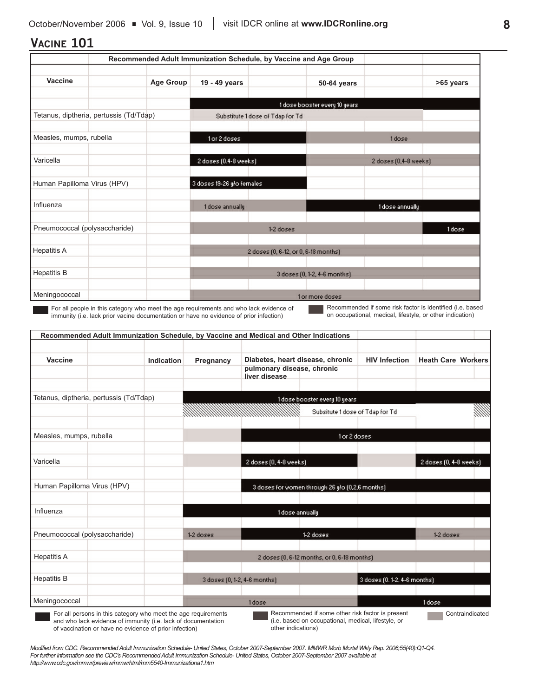# **VACINE 101**

|                                         | Recommended Adult Immunization Schedule, by Vaccine and Age Group |                           |                                      |                               |                       |           |
|-----------------------------------------|-------------------------------------------------------------------|---------------------------|--------------------------------------|-------------------------------|-----------------------|-----------|
| Vaccine                                 | <b>Age Group</b>                                                  | 19 - 49 years             |                                      | 50-64 years                   |                       | >65 years |
|                                         |                                                                   |                           |                                      | 1 dose booster every 10 years |                       |           |
| Tetanus, diptheria, pertussis (Td/Tdap) |                                                                   |                           | Substitute 1 dose of Tdap for Td     |                               |                       |           |
| Measles, mumps, rubella                 |                                                                   | 1 or 2 doses:             |                                      |                               | 1 dose                |           |
| Varicella                               |                                                                   | 2 doses (0.4-8 weeks)     |                                      |                               | 2 doses (0,4-8 weeks) |           |
| Human Papilloma Virus (HPV)             |                                                                   | 3 doses 19-26 y/o females |                                      |                               |                       |           |
| Influenza                               |                                                                   | 1 dose annually           |                                      |                               | 1 dose annually       |           |
| Pneumococcal (polysaccharide)           |                                                                   |                           | 1-2 doses                            |                               |                       | 1 dose    |
| <b>Hepatitis A</b>                      |                                                                   |                           | 2 doses (0, 6-12, or 0, 6-18 months) |                               |                       |           |
| <b>Hepatitis B</b>                      |                                                                   |                           |                                      | 3 doses (0, 1-2, 4-6 months)  |                       |           |
| Meningococcal                           |                                                                   |                           |                                      | 1 or more doses               |                       |           |

For all people in this category who meet the age requirements and who lack evidence of immunity (i.e. lack prior vacine documentation or have no evidence of prior infection)

Recommended if some risk factor is identified (i.e. based on occupational, medical, lifestyle, or other indication)

| Vaccine                                 | Indication | Pregnancy                     | Diabetes, heart disease, chronic            |                                                 | <b>HIV Infection</b>         | <b>Heath Care Workers</b> |  |
|-----------------------------------------|------------|-------------------------------|---------------------------------------------|-------------------------------------------------|------------------------------|---------------------------|--|
|                                         |            |                               | pulmonary disease, chronic<br>liver disease |                                                 |                              |                           |  |
| Tetanus, diptheria, pertussis (Td/Tdap) |            |                               |                                             | 1 dose booster every 10 years                   |                              |                           |  |
|                                         |            |                               |                                             | Subsitute 1 dose of Tdap for Td                 |                              |                           |  |
| Measles, mumps, rubella                 |            |                               |                                             |                                                 | for 2 doses                  |                           |  |
| Varicella                               |            |                               | 2 doses (0, 4-8 weeks)                      |                                                 |                              | 2 doses (0, 4-8 weeks)    |  |
| Human Papilloma Virus (HPV)             |            |                               |                                             | 3 doses for women through 26 y/o (0,2,6 months) |                              |                           |  |
| Influenza                               |            |                               | 1 dose annually                             |                                                 |                              |                           |  |
| Pneumococcal (polysaccharide)           |            | $1-2$ doses.                  |                                             | 1-2 doses                                       |                              | $1-2$ doses               |  |
| <b>Hepatitis A</b>                      |            |                               |                                             | 2 doses (0, 6-12 months, or 0, 6-18 months)     |                              |                           |  |
| <b>Hepatitis B</b>                      |            | 3 doses (0, 1-2, 4-6 months). |                                             |                                                 | 3 doses (0, 1-2, 4-6 months) |                           |  |
| Meningococcal                           |            |                               | 1 dose                                      |                                                 |                              | 1 dose                    |  |

of vaccination or have no evidence of prior infection)

other indications)

*Modified from CDC. Recommended Adult Immunization Schedule- United States, October 2007-September 2007. MMWR Morb Mortal Wkly Rep. 2006;55(40):Q1-Q4. For further information see the CDC's Recommended Adult Immunization Schedule- United States, October 2007-September 2007 available at http://www.cdc.gov/mmwr/preview/mmwrhtml/mm5540-Immunizationa1.htm*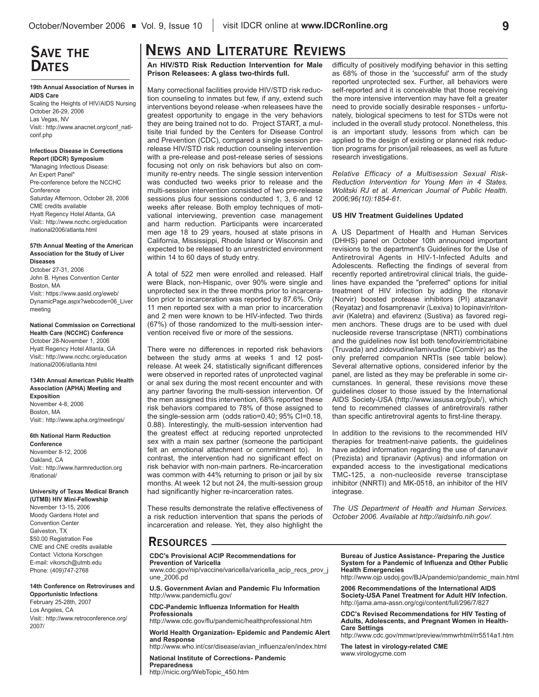# **SAVE THE DATES**

## **19th Annual Association of Nurses in AIDS Care**

Scaling the Heights of HIV/AIDS Nursing October 26-29, 2006 Las Vegas, NV Visit:: http://www.anacnet.org/conf\_natlconf.php

#### **Infectious Disease in Corrections Report (IDCR) Symposium**

"Managing Infectious Disease: An Expert Panel" Pre-conference before the NCCHC **Conference** Saturday Afternoon, October 28, 2006 CME credits available Hyatt Regency Hotel Atlanta, GA Visit:: http://www.ncchc.org/education /national2006/atlanta.html

#### **57th Annual Meeting of the American Association for the Study of Liver Diseases**

October 27-31, 2006 John B. Hynes Convention Center Boston, MA Visit:: https://www.aasld.org/eweb/ DynamicPage.aspx?webcode=06\_Liver meeting

**National Commission on Correctional Health Care (NCCHC) Conference** October 28-November 1, 2006 Hyatt Regency Hotel Atlanta, GA Visit:: http://www.ncchc.org/education /national2006/atlanta.html

**134th Annual American Public Health Association (APHA) Meeting and Exposition** November 4-8, 2006 Boston, MA

Visit:: http://www.apha.org/meetings/

#### **6th National Harm Reduction**

**Conference** November 8-12, 2006 Oakland, CA Visit:: http://www.harmreduction.org /6national/

#### **University of Texas Medical Branch (UTMB) HIV Mini-Fellowship**

November 13-15, 2006 Moody Gardens Hotel and Convention Center Galveston, TX \$50.00 Registration Fee CME and CNE credits available Contact: Victoria Korschgen E-mail: vikorsch@utmb.edu Phone: (409)747-2768

#### **14th Conference on Retroviruses and**

**Opportunistic Infections** February 25-28th, 2007 Los Angeles, CA Visit:: http://www.retroconference.org/ 2007/

# **NEWS AND LITERATURE REVIEWS**

**An HIV/STD Risk Reduction Intervention for Male Prison Releasees: A glass two-thirds full.**

Many correctional facilities provide HIV/STD risk reduction counseling to inmates but few, if any, extend such interventions beyond release -when releasees have the greatest opportunity to engage in the very behaviors they are being trained not to do. Project START, a multisite trial funded by the Centers for Disease Control and Prevention (CDC), compared a single session prerelease HIV/STD risk reduction counseling intervention with a pre-release and post-release series of sessions focusing not only on risk behaviors but also on community re-entry needs. The single session intervention was conducted two weeks prior to release and the multi-session intervention consisted of two pre-release sessions plus four sessions conducted 1, 3, 6 and 12 weeks after release. Both employ techniques of motivational interviewing, prevention case management and harm reduction. Participants were incarcerated men age 18 to 29 years, housed at state prisons in California, Mississippi, Rhode Island or Wisconsin and expected to be released to an unrestricted environment within 14 to 60 days of study entry.

A total of 522 men were enrolled and released. Half were Black, non-Hispanic, over 90% were single and unprotected sex in the three months prior to incarceration prior to incarceration was reported by 87.6%. Only 11 men reported sex with a man prior to incarceration and 2 men were known to be HIV-infected. Two thirds (67%) of those randomized to the multi-session intervention received five or more of the sessions.

There were no differences in reported risk behaviors between the study arms at weeks 1 and 12 postrelease. At week 24, statistically significant differences were observed in reported rates of unprotected vaginal or anal sex during the most recent encounter and with any partner favoring the multi-session intervention. Of the men assigned this intervention, 68% reported these risk behaviors compared to 78% of those assigned to the single-session arm (odds ratio=0.40; 95% CI=0.18, 0.88). Interestingly, the multi-session intervention had the greatest effect at reducing reported unprotected sex with a main sex partner (someone the participant felt an emotional attachment or commitment to). In contrast, the intervention had no significant effect on risk behavior with non-main partners. Re-incarceration was common with 44% returning to prison or jail by six months. At week 12 but not 24, the multi-session group had significantly higher re-incarceration rates.

These results demonstrate the relative effectiveness of a risk reduction intervention that spans the periods of incarceration and release. Yet, they also highlight the

difficulty of positively modifying behavior in this setting as 68% of those in the 'successful' arm of the study reported unprotected sex. Further, all behaviors were self-reported and it is conceivable that those receiving the more intensive intervention may have felt a greater need to provide socially desirable responses - unfortunately, biological specimens to test for STDs were not included in the overall study protocol. Nonetheless, this is an important study, lessons from which can be applied to the design of existing or planned risk reduction programs for prison/jail releasees, as well as future research investigations.

*Relative Efficacy of a Multisession Sexual Risk-Reduction Intervention for Young Men in 4 States. Wolitski RJ et al. American Journal of Public Health. 2006;96(10):1854-61.* 

## **US HIV Treatment Guidelines Updated**

A US Department of Health and Human Services (DHHS) panel on October 10th announced important revisions to the department's Guidelines for the Use of Antiretroviral Agents in HIV-1-Infected Adults and Adolescents. Reflecting the findings of several from recently reported antiretroviral clinical trials, the guidelines have expanded the "preferred" options for initial treatment of HIV infection by adding the ritonavir (Norvir) boosted protease inhibitors (PI) atazanavir (Reyataz) and fosamprenavir (Lexiva) to lopinavir/ritonavir (Kaletra) and efavirenz (Sustiva) as favored regimen anchors. These drugs are to be used with duel nucleoside reverse transcriptase (NRTI) combinations and the guidelines now list both tenofovir/emtricitabine (Truvada) and zidovudine/lamivudine (Combivir) as the only preferred companion NRTIs (see table below). Several alternative options, considered inferior by the panel, are listed as they may be preferable in some circumstances. In general, these revisions move these guidelines closer to those issued by the International AIDS Society-USA (http://www.iasusa.org/pub/), which tend to recommened classes of antiretrovirals rather than specific antiretroviral agents to first-line therapy.

In addition to the revisions to the recommended HIV therapies for treatment-naive patients, the guidelines have added information regarding the use of darunavir (Prezista) and tipranavir (Aptivus) and information on expanded access to the investigational medications TMC-125, a non-nucleoside reverse transciptase inhibitor (NNRTI) and MK-0518, an inhibitor of the HIV integrase.

*The US Department of Health and Human Services. October 2006. Available at http://aidsinfo.nih.gov/.*

## **RESOURCES**

#### **CDC's Provisional ACIP Recommendations for Prevention of Varicella** www.cdc.gov/nip/vaccine/varicella/varicella\_acip\_recs\_prov\_j une\_2006.pd **U.S. Government Avian and Pandemic Flu Information**  http://www.pandemicflu.gov/

**CDC-Pandemic Influenza Information for Health Professionals**

http://www.cdc.gov/flu/pandemic/healthprofessional.htm

**World Health Organization- Epidemic and Pandemic Alert and Response**

http://www.who.int/csr/disease/avian\_influenza/en/index.html

**National Institute of Corrections- Pandemic Preparedness** http://nicic.org/WebTopic\_450.htm

**Bureau of Justice Assistance- Preparing the Justice System for a Pandemic of Influenza and Other Public Health Emergencies**

http://www.ojp.usdoj.gov/BJA/pandemic/pandemic\_main.html

**2006 Recommendations of the International AIDS Society-USA Panel Treatment for Adult HIV Infection.** http://jama.ama-assn.org/cgi/content/full/296/7/827

**CDC's Revised Recommendations for HIV Testing of Adults, Adolescents, and Pregnant Women in Health-Care Settings**

http://www.cdc.gov/mmwr/preview/mmwrhtml/rr5514a1.htm

**The latest in virology-related CME** www.virologycme.com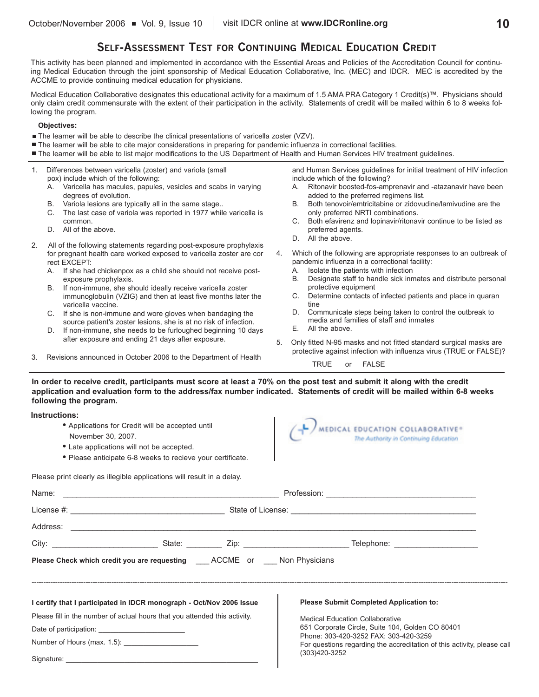## **SELF-ASSESSMENT TEST FOR CONTINUING MEDICAL EDUCATION CREDIT**

This activity has been planned and implemented in accordance with the Essential Areas and Policies of the Accreditation Council for continuing Medical Education through the joint sponsorship of Medical Education Collaborative, Inc. (MEC) and IDCR. MEC is accredited by the ACCME to provide continuing medical education for physicians.

Medical Education Collaborative designates this educational activity for a maximum of 1.5 AMA PRA Category 1 Credit(s)™. Physicians should only claim credit commensurate with the extent of their participation in the activity. Statements of credit will be mailed within 6 to 8 weeks following the program.

### **Objectives:**

- The learner will be able to describe the clinical presentations of varicella zoster (VZV).
- The learner will be able to cite major considerations in preparing for pandemic influenza in correctional facilities.
- The learner will be able to list major modifications to the US Department of Health and Human Services HIV treatment guidelines.
- 1. Differences between varicella (zoster) and variola (small pox) include which of the following: A. Varicella has macules, papules, vesicles and scabs in varying degrees of evolution. B. Variola lesions are typically all in the same stage.. C. The last case of variola was reported in 1977 while varicella is common. D. All of the above. 2. All of the following statements regarding post-exposure prophylaxis for pregnant health care worked exposed to varicella zoster are cor rect EXCEPT: A. If she had chickenpox as a child she should not receive postexposure prophylaxis. B. If non-immune, she should ideally receive varicella zoster immunoglobulin (VZIG) and then at least five months later the varicella vaccine. C. If she is non-immune and wore gloves when bandaging the source patient's zoster lesions, she is at no risk of infection. D. If non-immune, she needs to be furloughed beginning 10 days and Human Services guidelines for initial treatment of HIV infection include which of the following? A. Ritonavir boosted-fos-amprenavir and -atazanavir have been added to the preferred regimens list. B. Both tenovoir/emtricitabine or zidovudine/lamivudine are the only preferred NRTI combinations. C. Both efavirenz and lopinavir/ritonavir continue to be listed as preferred agents. D. All the above. 4. Which of the following are appropriate responses to an outbreak of pandemic influenza in a correctional facility: A. Isolate the patients with infection B. Designate staff to handle sick inmates and distribute personal protective equipment C. Determine contacts of infected patients and place in quaran tine D. Communicate steps being taken to control the outbreak to media and families of staff and inmates
	- E. All the above.
	- 5. Only fitted N-95 masks and not fitted standard surgical masks are protective against infection with influenza virus (TRUE or FALSE)?

TRUE or FALSE

3. Revisions announced in October 2006 to the Department of Health

after exposure and ending 21 days after exposure.

**In order to receive credit, participants must score at least a 70% on the post test and submit it along with the credit application and evaluation form to the address/fax number indicated. Statements of credit will be mailed within 6-8 weeks following the program.**

 $\blacksquare$ 

## **Instructions:**

| • Applications for Credit will be accepted until<br>November 30, 2007.<br>• Late applications will not be accepted. |                                                                                |  | MEDICAL EDUCATION COLLABORATIVE®<br>The Authority in Continuing Education                 |  |  |  |  |
|---------------------------------------------------------------------------------------------------------------------|--------------------------------------------------------------------------------|--|-------------------------------------------------------------------------------------------|--|--|--|--|
|                                                                                                                     | • Please anticipate 6-8 weeks to recieve your certificate.                     |  |                                                                                           |  |  |  |  |
|                                                                                                                     | Please print clearly as illegible applications will result in a delay.         |  |                                                                                           |  |  |  |  |
|                                                                                                                     |                                                                                |  |                                                                                           |  |  |  |  |
|                                                                                                                     |                                                                                |  |                                                                                           |  |  |  |  |
|                                                                                                                     | Address: <u>International Communities</u>                                      |  |                                                                                           |  |  |  |  |
|                                                                                                                     |                                                                                |  |                                                                                           |  |  |  |  |
|                                                                                                                     | Please Check which credit you are requesting ____ ACCME or ____ Non Physicians |  |                                                                                           |  |  |  |  |
|                                                                                                                     | I certify that I participated in IDCR monograph - Oct/Nov 2006 Issue           |  | <b>Please Submit Completed Application to:</b>                                            |  |  |  |  |
|                                                                                                                     | Please fill in the number of actual hours that you attended this activity.     |  | <b>Medical Education Collaborative</b>                                                    |  |  |  |  |
|                                                                                                                     |                                                                                |  | 651 Corporate Circle, Suite 104, Golden CO 80401<br>Phone: 303-420-3252 FAX: 303-420-3259 |  |  |  |  |
|                                                                                                                     |                                                                                |  | For questions regarding the accreditation of this activity, please call                   |  |  |  |  |
|                                                                                                                     |                                                                                |  | (303)420-3252                                                                             |  |  |  |  |